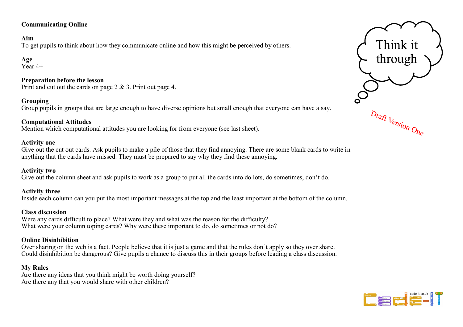# **Communicating Online**

### **Aim**

To get pupils to think about how they communicate online and how this might be perceived by others.

**Age**   $Year 4+$ 

#### **Preparation before the lesson** Print and cut out the cards on page 2 & 3. Print out page 4.

### **Grouping**

Group pupils in groups that are large enough to have diverse opinions but small enough that everyone can have a say.

### **Computational Attitudes**

Mention which computational attitudes you are looking for from everyone (see last sheet).

### **Activity one**

Give out the cut out cards. Ask pupils to make a pile of those that they find annoying. There are some blank cards to write in anything that the cards have missed. They must be prepared to say why they find these annoying.

#### **Activity two**

Give out the column sheet and ask pupils to work as a group to put all the cards into do lots, do sometimes, don't do.

### **Activity three**

Inside each column can you put the most important messages at the top and the least important at the bottom of the column.

### **Class discussion**

Were any cards difficult to place? What were they and what was the reason for the difficulty? What were your column toping cards? Why were these important to do, do sometimes or not do?

### **Online Disinhibition**

Over sharing on the web is a fact. People believe that it is just a game and that the rules don't apply so they over share. Could disinhibition be dangerous? Give pupils a chance to discuss this in their groups before leading a class discussion.

## **My Rules**

Are there any ideas that you think might be worth doing yourself? Are there any that you would share with other children?



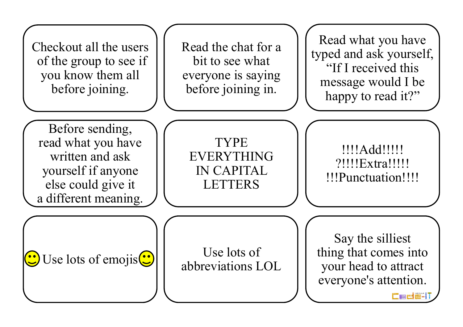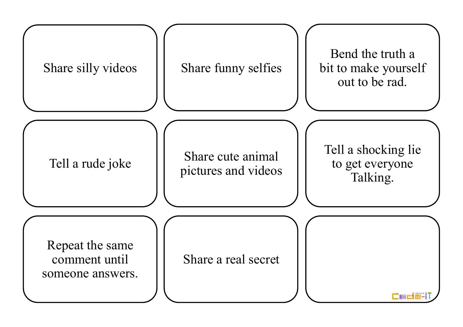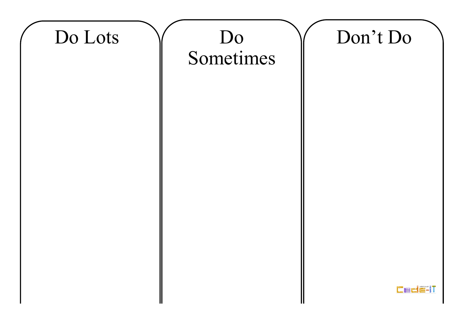